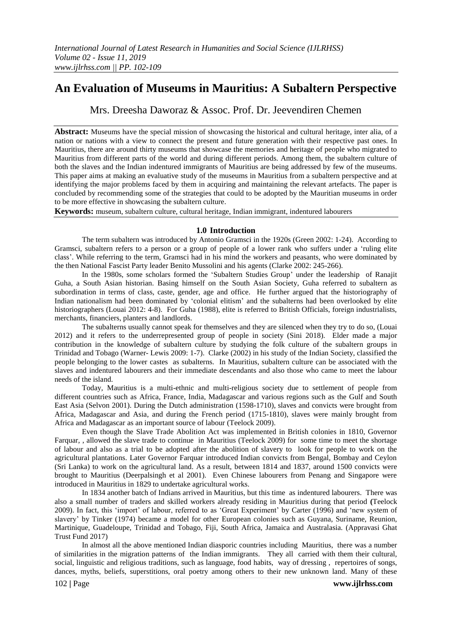# **An Evaluation of Museums in Mauritius: A Subaltern Perspective**

Mrs. Dreesha Daworaz & Assoc. Prof. Dr. Jeevendiren Chemen

**Abstract:** Museums have the special mission of showcasing the historical and cultural heritage, inter alia, of a nation or nations with a view to connect the present and future generation with their respective past ones. In Mauritius, there are around thirty museums that showcase the memories and heritage of people who migrated to Mauritius from different parts of the world and during different periods. Among them, the subaltern culture of both the slaves and the Indian indentured immigrants of Mauritius are being addressed by few of the museums. This paper aims at making an evaluative study of the museums in Mauritius from a subaltern perspective and at identifying the major problems faced by them in acquiring and maintaining the relevant artefacts. The paper is concluded by recommending some of the strategies that could to be adopted by the Mauritian museums in order to be more effective in showcasing the subaltern culture.

**Keywords:** museum, subaltern culture, cultural heritage, Indian immigrant, indentured labourers

### **1.0 Introduction**

The term subaltern was introduced by Antonio Gramsci in the 1920s (Green 2002: 1-24). According to Gramsci, subaltern refers to a person or a group of people of a lower rank who suffers under a 'ruling elite class'. While referring to the term, Gramsci had in his mind the workers and peasants, who were dominated by the then National Fascist Party leader Benito Mussolini and his agents (Clarke 2002: 245-266).

In the 1980s, some scholars formed the 'Subaltern Studies Group' under the leadership of Ranajit Guha, a South Asian historian. Basing himself on the South Asian Society, Guha referred to subaltern as subordination in terms of class, caste, gender, age and office. He further argued that the historiography of Indian nationalism had been dominated by 'colonial elitism' and the subalterns had been overlooked by elite historiographers (Louai 2012: 4-8). For Guha (1988), elite is referred to British Officials, foreign industrialists, merchants, financiers, planters and landlords.

The subalterns usually cannot speak for themselves and they are silenced when they try to do so, (Louai 2012) and it refers to the underrepresented group of people in society (Sini 2018). Elder made a major contribution in the knowledge of subaltern culture by studying the folk culture of the subaltern groups in Trinidad and Tobago (Warner- Lewis 2009: 1-7). Clarke (2002) in his study of the Indian Society, classified the people belonging to the lower castes as subalterns. In Mauritius, subaltern culture can be associated with the slaves and indentured labourers and their immediate descendants and also those who came to meet the labour needs of the island.

Today, Mauritius is a multi-ethnic and multi-religious society due to settlement of people from different countries such as Africa, France, India, Madagascar and various regions such as the Gulf and South East Asia (Selvon 2001). During the Dutch administration (1598-1710), slaves and convicts were brought from Africa, Madagascar and Asia, and during the French period (1715-1810), slaves were mainly brought from Africa and Madagascar as an important source of labour (Teelock 2009).

Even though the Slave Trade Abolition Act was implemented in British colonies in 1810, Governor Farquar, , allowed the slave trade to continue in Mauritius (Teelock 2009) for some time to meet the shortage of labour and also as a trial to be adopted after the abolition of slavery to look for people to work on the agricultural plantations. Later Governor Farquar introduced Indian convicts from Bengal, Bombay and Ceylon (Sri Lanka) to work on the agricultural land. As a result, between 1814 and 1837, around 1500 convicts were brought to Mauritius (Deerpalsingh et al 2001). Even Chinese labourers from Penang and Singapore were introduced in Mauritius in 1829 to undertake agricultural works.

In 1834 another batch of Indians arrived in Mauritius, but this time as indentured labourers. There was also a small number of traders and skilled workers already residing in Mauritius during that period **(**Teelock 2009). In fact, this 'import' of labour, referred to as 'Great Experiment' by Carter (1996) and 'new system of slavery' by Tinker (1974) became a model for other European colonies such as Guyana, Suriname, Reunion, Martinique, Guadeloupe, Trinidad and Tobago, Fiji, South Africa, Jamaica and Australasia. (Appravasi Ghat Trust Fund 2017)

In almost all the above mentioned Indian diasporic countries including Mauritius, there was a number of similarities in the migration patterns of the Indian immigrants. They all carried with them their cultural, social, linguistic and religious traditions, such as language, food habits, way of dressing , repertoires of songs, dances, myths, beliefs, superstitions, oral poetry among others to their new unknown land. Many of these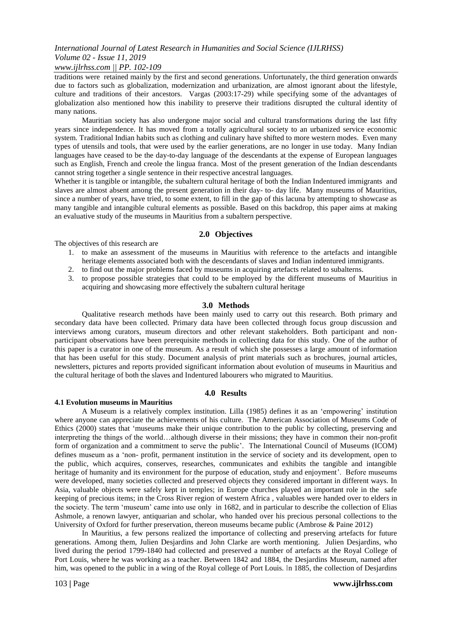*www.ijlrhss.com || PP. 102-109*

traditions were retained mainly by the first and second generations. Unfortunately, the third generation onwards due to factors such as globalization, modernization and urbanization, are almost ignorant about the lifestyle, culture and traditions of their ancestors. Vargas (2003:17-29) while specifying some of the advantages of globalization also mentioned how this inability to preserve their traditions disrupted the cultural identity of many nations.

Mauritian society has also undergone major social and cultural transformations during the last fifty years since independence. It has moved from a totally agricultural society to an urbanized service economic system. Traditional Indian habits such as clothing and culinary have shifted to more western modes. Even many types of utensils and tools, that were used by the earlier generations, are no longer in use today. Many Indian languages have ceased to be the day-to-day language of the descendants at the expense of European languages such as English, French and creole the lingua franca. Most of the present generation of the Indian descendants cannot string together a single sentence in their respective ancestral languages.

Whether it is tangible or intangible, the subaltern cultural heritage of both the Indian Indentured immigrants and slaves are almost absent among the present generation in their day- to- day life. Many museums of Mauritius, since a number of years, have tried, to some extent, to fill in the gap of this lacuna by attempting to showcase as many tangible and intangible cultural elements as possible. Based on this backdrop, this paper aims at making an evaluative study of the museums in Mauritius from a subaltern perspective.

### **2.0 Objectives**

The objectives of this research are

- 1. to make an assessment of the museums in Mauritius with reference to the artefacts and intangible heritage elements associated both with the descendants of slaves and Indian indentured immigrants.
- 2. to find out the major problems faced by museums in acquiring artefacts related to subalterns.
- 3. to propose possible strategies that could to be employed by the different museums of Mauritius in acquiring and showcasing more effectively the subaltern cultural heritage

### **3.0 Methods**

Qualitative research methods have been mainly used to carry out this research. Both primary and secondary data have been collected. Primary data have been collected through focus group discussion and interviews among curators, museum directors and other relevant stakeholders. Both participant and nonparticipant observations have been prerequisite methods in collecting data for this study. One of the author of this paper is a curator in one of the museum. As a result of which she possesses a large amount of information that has been useful for this study. Document analysis of print materials such as brochures, journal articles, newsletters, pictures and reports provided significant information about evolution of museums in Mauritius and the cultural heritage of both the slaves and Indentured labourers who migrated to Mauritius.

### **4.0 Results**

#### **4.1 Evolution museums in Mauritius**

A Museum is a relatively complex institution. Lilla (1985) defines it as an 'empowering' institution where anyone can appreciate the achievements of his culture. The American Association of Museums Code of Ethics (2000) states that 'museums make their unique contribution to the public by collecting, preserving and interpreting the things of the world…although diverse in their missions; they have in common their non-profit form of organization and a commitment to serve the public'. The International Council of Museums (ICOM) defines museum as a 'non- profit, permanent institution in the service of society and its development, open to the public, which acquires, conserves, researches, communicates and exhibits the tangible and intangible heritage of humanity and its environment for the purpose of education, study and enjoyment'. Before museums were developed, many societies collected and preserved objects they considered important in different ways. In Asia, valuable objects were safely kept in temples; in Europe churches played an important role in the safe keeping of precious items; in the Cross River region of western Africa , valuables were handed over to elders in the society. The term 'museum' came into use only in 1682, and in particular to describe the collection of Elias Ashmole, a renown lawyer, antiquarian and scholar, who handed over his precious personal collections to the University of Oxford for further preservation, thereon museums became public (Ambrose & Paine 2012)

In Mauritius, a few persons realized the importance of collecting and preserving artefacts for future generations. Among them, Julien Desjardins and John Clarke are worth mentioning. Julien Desjardins, who lived during the period 1799-1840 had collected and preserved a number of artefacts at the Royal College of Port Louis, where he was working as a teacher. Between 1842 and 1884, the Desjardins Museum, named after him, was opened to the public in a wing of the Royal college of Port Louis. In 1885, the collection of Desjardins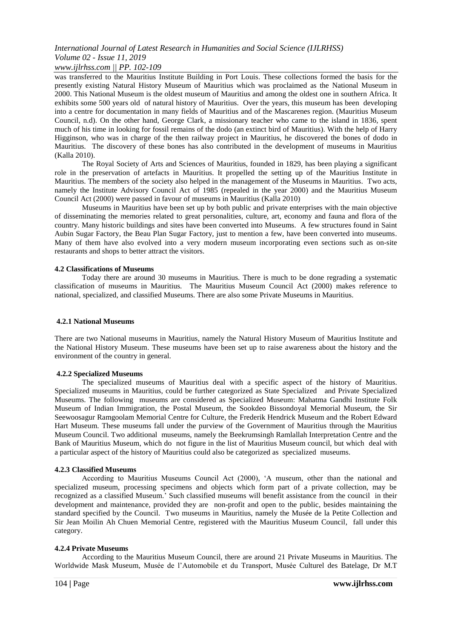### *www.ijlrhss.com || PP. 102-109*

was transferred to the Mauritius Institute Building in Port Louis. These collections formed the basis for the presently existing Natural History Museum of Mauritius which was proclaimed as the National Museum in 2000. This National Museum is the oldest museum of Mauritius and among the oldest one in southern Africa. It exhibits some 500 years old of natural history of Mauritius. Over the years, this museum has been developing into a centre for documentation in many fields of Mauritius and of the Mascarenes region. (Mauritius Museum Council, n.d). On the other hand, George Clark, a missionary teacher who came to the island in 1836, spent much of his time in looking for fossil remains of the dodo (an extinct bird of Mauritius). With the help of Harry Higginson, who was in charge of the then railway project in Mauritius, he discovered the bones of dodo in Mauritius. The discovery of these bones has also contributed in the development of museums in Mauritius (Kalla 2010).

The Royal Society of Arts and Sciences of Mauritius, founded in 1829, has been playing a significant role in the preservation of artefacts in Mauritius. It propelled the setting up of the Mauritius Institute in Mauritius. The members of the society also helped in the management of the Museums in Mauritius. Two acts, namely the Institute Advisory Council Act of 1985 (repealed in the year 2000) and the Mauritius Museum Council Act (2000) were passed in favour of museums in Mauritius (Kalla 2010)

Museums in Mauritius have been set up by both public and private enterprises with the main objective of disseminating the memories related to great personalities, culture, art, economy and fauna and flora of the country. Many historic buildings and sites have been converted into Museums. A few structures found in Saint Aubin Sugar Factory, the Beau Plan Sugar Factory, just to mention a few, have been converted into museums. Many of them have also evolved into a very modern museum incorporating even sections such as on-site restaurants and shops to better attract the visitors.

### **4.2 Classifications of Museums**

Today there are around 30 museums in Mauritius. There is much to be done regrading a systematic classification of museums in Mauritius. The Mauritius Museum Council Act (2000) makes reference to national, specialized, and classified Museums. There are also some Private Museums in Mauritius.

### **4.2.1 National Museums**

There are two National museums in Mauritius, namely the Natural History Museum of Mauritius Institute and the National History Museum. These museums have been set up to raise awareness about the history and the environment of the country in general.

### **4.2.2 Specialized Museums**

The specialized museums of Mauritius deal with a specific aspect of the history of Mauritius. Specialized museums in Mauritius, could be further categorized as State Specialized and Private Specialized Museums. The following museums are considered as Specialized Museum: Mahatma Gandhi Institute Folk Museum of Indian Immigration, the Postal Museum, the Sookdeo Bissondoyal Memorial Museum, the Sir Seewoosagur Ramgoolam Memorial Centre for Culture, the Frederik Hendrick Museum and the Robert Edward Hart Museum. These museums fall under the purview of the Government of Mauritius through the Mauritius Museum Council. Two additional museums, namely the Beekrumsingh Ramlallah Interpretation Centre and the Bank of Mauritius Museum, which do not figure in the list of Mauritius Museum council, but which deal with a particular aspect of the history of Mauritius could also be categorized as specialized museums.

### **4.2.3 Classified Museums**

According to Mauritius Museums Council Act (2000), 'A museum, other than the national and specialized museum, processing specimens and objects which form part of a private collection, may be recognized as a classified Museum.' Such classified museums will benefit assistance from the council in their development and maintenance, provided they are non-profit and open to the public, besides maintaining the standard specified by the Council. Two museums in Mauritius, namely the Musée de la Petite Collection and Sir Jean Moilin Ah Chuen Memorial Centre, registered with the Mauritius Museum Council, fall under this category.

### **4.2.4 Private Museums**

According to the Mauritius Museum Council, there are around 21 Private Museums in Mauritius. The Worldwide Mask Museum, Musée de l'Automobile et du Transport, Musée Culturel des Batelage, Dr M.T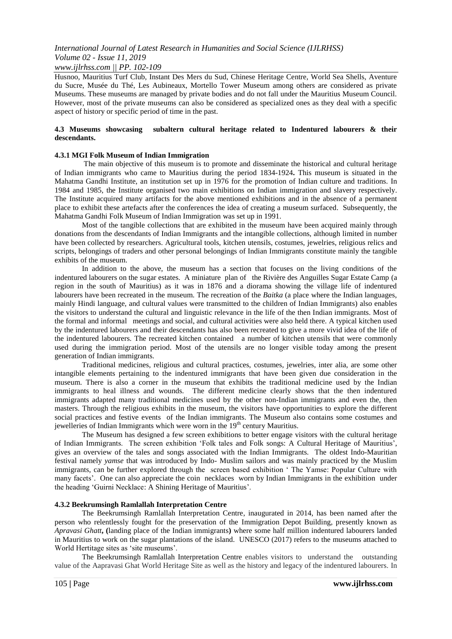### *www.ijlrhss.com || PP. 102-109*

Husnoo, Mauritius Turf Club, Instant Des Mers du Sud, Chinese Heritage Centre, World Sea Shells, Aventure du Sucre, Musée du Thé, Les Aubineaux, Mortello Tower Museum among others are considered as private Museums. These museums are managed by private bodies and do not fall under the Mauritius Museum Council. However, most of the private museums can also be considered as specialized ones as they deal with a specific aspect of history or specific period of time in the past.

### **4.3 Museums showcasing subaltern cultural heritage related to Indentured labourers & their descendants.**

### **4.3.1 MGI Folk Museum of Indian Immigration**

The main objective of this museum is to promote and disseminate the historical and cultural heritage of Indian immigrants who came to Mauritius during the period 1834-1924**.** This museum is situated in the Mahatma Gandhi Institute, an institution set up in 1976 for the promotion of Indian culture and traditions. In 1984 and 1985, the Institute organised two main exhibitions on Indian immigration and slavery respectively. The Institute acquired many artifacts for the above mentioned exhibitions and in the absence of a permanent place to exhibit these artefacts after the conferences the idea of creating a museum surfaced. Subsequently, the Mahatma Gandhi Folk Museum of Indian Immigration was set up in 1991.

Most of the tangible collections that are exhibited in the museum have been acquired mainly through donations from the descendants of Indian Immigrants and the intangible collections, although limited in number have been collected by researchers. Agricultural tools, kitchen utensils, costumes, jewelries, religious relics and scripts, belongings of traders and other personal belongings of Indian Immigrants constitute mainly the tangible exhibits of the museum.

In addition to the above, the museum has a section that focuses on the living conditions of the indentured labourers on the sugar estates. A miniature plan of the Rivière des Anguilles Sugar Estate Camp (a region in the south of Mauritius) as it was in 1876 and a diorama showing the village life of indentured labourers have been recreated in the museum. The recreation of the *Baitka* (a place where the Indian languages, mainly Hindi language, and cultural values were transmitted to the children of Indian Immigrants) also enables the visitors to understand the cultural and linguistic relevance in the life of the then Indian immigrants. Most of the formal and informal meetings and social, and cultural activities were also held there. A typical kitchen used by the indentured labourers and their descendants has also been recreated to give a more vivid idea of the life of the indentured labourers. The recreated kitchen contained a number of kitchen utensils that were commonly used during the immigration period. Most of the utensils are no longer visible today among the present generation of Indian immigrants.

Traditional medicines, religious and cultural practices, costumes, jewelries, inter alia, are some other intangible elements pertaining to the indentured immigrants that have been given due consideration in the museum. There is also a corner in the museum that exhibits the traditional medicine used by the Indian immigrants to heal illness and wounds. The different medicine clearly shows that the then indentured immigrants adapted many traditional medicines used by the other non-Indian immigrants and even the, then masters. Through the religious exhibits in the museum, the visitors have opportunities to explore the different social practices and festive events of the Indian immigrants. The Museum also contains some costumes and jewelleries of Indian Immigrants which were worn in the 19<sup>th</sup> century Mauritius.

The Museum has designed a few screen exhibitions to better engage visitors with the cultural heritage of Indian Immigrants. The screen exhibition 'Folk tales and Folk songs: A Cultural Heritage of Mauritius', gives an overview of the tales and songs associated with the Indian Immigrants. The oldest Indo-Mauritian festival namely *yamse* that was introduced by Indo- Muslim sailors and was mainly practiced by the Muslim immigrants, can be further explored through the screen based exhibition ' The Yamse: Popular Culture with many facets'. One can also appreciate the coin necklaces worn by Indian Immigrants in the exhibition under the heading 'Guirni Necklace: A Shining Heritage of Mauritius'.

#### **4.3.2 Beekrumsingh Ramlallah Interpretation Centre**

The Beekrumsingh Ramlallah Interpretation Centre, inaugurated in 2014, has been named after the person who relentlessly fought for the preservation of the Immigration Depot Building, presently known as *Apravasi Ghatt***, (**landing place of the Indian immigrants**)** where some half million indentured labourers landed in Mauritius to work on the sugar plantations of the island. UNESCO (2017) refers to the museums attached to World Hertitage sites as 'site museums'.

The Beekrumsingh Ramlallah Interpretation Centre enables visitors to understand the outstanding value of the Aapravasi Ghat World Heritage Site as well as the history and legacy of the indentured labourers. In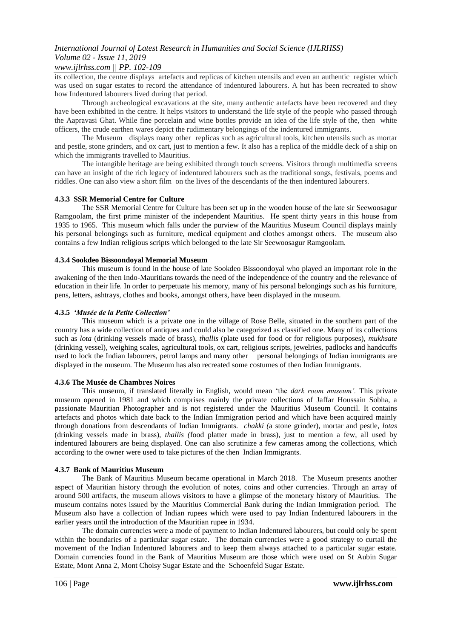## *www.ijlrhss.com || PP. 102-109*

its collection, the centre displays artefacts and replicas of kitchen utensils and even an authentic register which was used on sugar estates to record the attendance of indentured labourers. A hut has been recreated to show how Indentured labourers lived during that period.

Through archeological excavations at the site, many authentic artefacts have been recovered and they have been exhibited in the centre. It helps visitors to understand the life style of the people who passed through the Aapravasi Ghat. While fine porcelain and wine bottles provide an idea of the life style of the, then white officers, the crude earthen wares depict the rudimentary belongings of the indentured immigrants.

The Museum displays many other replicas such as agricultural tools, kitchen utensils such as mortar and pestle, stone grinders, and ox cart, just to mention a few. It also has a replica of the middle deck of a ship on which the immigrants travelled to Mauritius.

The intangible heritage are being exhibited through touch screens. Visitors through multimedia screens can have an insight of the rich legacy of indentured labourers such as the traditional songs, festivals, poems and riddles. One can also view a short film on the lives of the descendants of the then indentured labourers.

### **4.3.3 SSR Memorial Centre for Culture**

The SSR Memorial Centre for Culture has been set up in the wooden house of the late sir Seewoosagur Ramgoolam, the first prime minister of the independent Mauritius. He spent thirty years in this house from 1935 to 1965. This museum which falls under the purview of the Mauritius Museum Council displays mainly his personal belongings such as furniture, medical equipment and clothes amongst others. The museum also contains a few Indian religious scripts which belonged to the late Sir Seewoosagur Ramgoolam.

### **4.3.4 Sookdeo Bissoondoyal Memorial Museum**

This museum is found in the house of late Sookdeo Bissoondoyal who played an important role in the awakening of the then Indo-Mauritians towards the need of the independence of the country and the relevance of education in their life. In order to perpetuate his memory, many of his personal belongings such as his furniture, pens, letters, ashtrays, clothes and books, amongst others, have been displayed in the museum.

### **4.3.5** *'Musée de la Petite Collection'*

This museum which is a private one in the village of Rose Belle, situated in the southern part of the country has a wide collection of antiques and could also be categorized as classified one. Many of its collections such as *lota* (drinking vessels made of brass)*, thallis* (plate used for food or for religious purposes), *mukhsate*  (drinking vessel)*,* weighing scales, agricultural tools, ox cart, religious scripts, jewelries, padlocks and handcuffs used to lock the Indian labourers, petrol lamps and many other personal belongings of Indian immigrants are displayed in the museum. The Museum has also recreated some costumes of then Indian Immigrants.

### **4.3.6 The Musée de Chambres Noires**

This museum, if translated literally in English, would mean 'the *dark room museum'.* This private museum opened in 1981 and which comprises mainly the private collections of Jaffar Houssain Sobha, a passionate Mauritian Photographer and is not registered under the Mauritius Museum Council. It contains artefacts and photos which date back to the Indian Immigration period and which have been acquired mainly through donations from descendants of Indian Immigrants. *chakki (*a stone grinder), mortar and pestle, *lotas*  (drinking vessels made in brass), *thallis (*food platter made in brass), just to mention a few, all used by indentured labourers are being displayed. One can also scrutinize a few cameras among the collections, which according to the owner were used to take pictures of the then Indian Immigrants.

### **4.3.7 Bank of Mauritius Museum**

The Bank of Mauritius Museum became operational in March 2018. The Museum presents another aspect of Mauritian history through the evolution of notes, coins and other currencies. Through an array of around 500 artifacts, the museum allows visitors to have a glimpse of the monetary history of Mauritius. The museum contains notes issued by the Mauritius Commercial Bank during the Indian Immigration period. The Museum also have a collection of Indian rupees which were used to pay Indian Indentured labourers in the earlier years until the introduction of the Mauritian rupee in 1934.

The domain currencies were a mode of payment to Indian Indentured labourers, but could only be spent within the boundaries of a particular sugar estate. The domain currencies were a good strategy to curtail the movement of the Indian Indentured labourers and to keep them always attached to a particular sugar estate. Domain currencies found in the Bank of Mauritius Museum are those which were used on St Aubin Sugar Estate, Mont Anna 2, Mont Choisy Sugar Estate and the Schoenfeld Sugar Estate.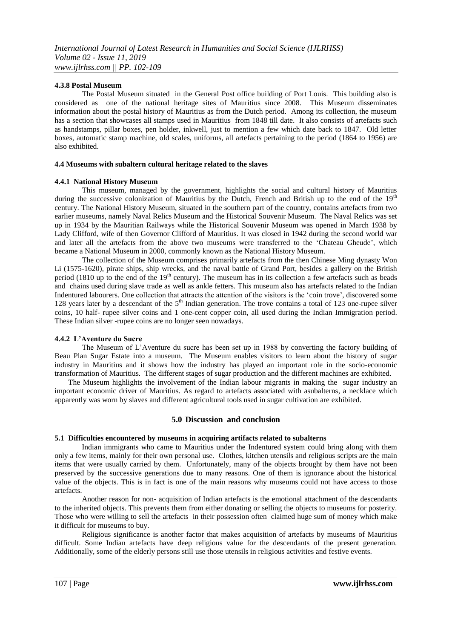### **4.3.8 Postal Museum**

The Postal Museum situated in the General Post office building of Port Louis. This building also is considered as one of the national heritage sites of Mauritius since 2008. This Museum disseminates information about the postal history of Mauritius as from the Dutch period. Among its collection, the museum has a section that showcases all stamps used in Mauritius from 1848 till date. It also consists of artefacts such as handstamps, pillar boxes, pen holder, inkwell, just to mention a few which date back to 1847. Old letter boxes, automatic stamp machine, old scales, uniforms, all artefacts pertaining to the period (1864 to 1956) are also exhibited.

### **4.4 Museums with subaltern cultural heritage related to the slaves**

### **4.4.1 National History Museum**

This museum, managed by the government, highlights the social and cultural history of Mauritius during the successive colonization of Mauritius by the Dutch, French and British up to the end of the 19<sup>th</sup> century. The National History Museum, situated in the southern part of the country, contains artefacts from two earlier museums, namely Naval Relics Museum and the Historical Souvenir Museum. The Naval Relics was set up in 1934 by the Mauritian Railways while the Historical Souvenir Museum was opened in March 1938 by Lady Clifford, wife of then Governor Clifford of Mauritius. It was closed in 1942 during the second world war and later all the artefacts from the above two museums were transferred to the 'Chateau Gheude', which became a National Museum in 2000, commonly known as the National History Museum.

The collection of the Museum comprises primarily artefacts from the then Chinese Ming dynasty Won Li (1575-1620), pirate ships, ship wrecks, and the naval battle of Grand Port, besides a gallery on the British period (1810 up to the end of the  $19<sup>th</sup>$  century). The museum has in its collection a few artefacts such as beads and chains used during slave trade as well as ankle fetters. This museum also has artefacts related to the Indian Indentured labourers. One collection that attracts the attention of the visitors is the 'coin trove', discovered some 128 years later by a descendant of the 5<sup>th</sup> Indian generation. The trove contains a total of 123 one-rupee silver coins, 10 half- rupee silver coins and 1 one-cent copper coin, all used during the Indian Immigration period. These Indian silver -rupee coins are no longer seen nowadays.

#### **4.4.2 L'Aventure du Sucre**

The Museum of L'Aventure du sucre has been set up in 1988 by converting the factory building of Beau Plan Sugar Estate into a museum. The Museum enables visitors to learn about the history of sugar industry in Mauritius and it shows how the industry has played an important role in the socio-economic transformation of Mauritius. The different stages of sugar production and the different machines are exhibited.

The Museum highlights the involvement of the Indian labour migrants in making the sugar industry an important economic driver of Mauritius. As regard to artefacts associated with asubalterns, a necklace which apparently was worn by slaves and different agricultural tools used in sugar cultivation are exhibited.

#### **5.0 Discussion and conclusion**

#### **5.1 Difficulties encountered by museums in acquiring artifacts related to subalterns**

Indian immigrants who came to Mauritius under the Indentured system could bring along with them only a few items, mainly for their own personal use. Clothes, kitchen utensils and religious scripts are the main items that were usually carried by them. Unfortunately, many of the objects brought by them have not been preserved by the successive generations due to many reasons. One of them is ignorance about the historical value of the objects. This is in fact is one of the main reasons why museums could not have access to those artefacts.

Another reason for non- acquisition of Indian artefacts is the emotional attachment of the descendants to the inherited objects. This prevents them from either donating or selling the objects to museums for posterity. Those who were willing to sell the artefacts in their possession often claimed huge sum of money which make it difficult for museums to buy.

Religious significance is another factor that makes acquisition of artefacts by museums of Mauritius difficult. Some Indian artefacts have deep religious value for the descendants of the present generation. Additionally, some of the elderly persons still use those utensils in religious activities and festive events.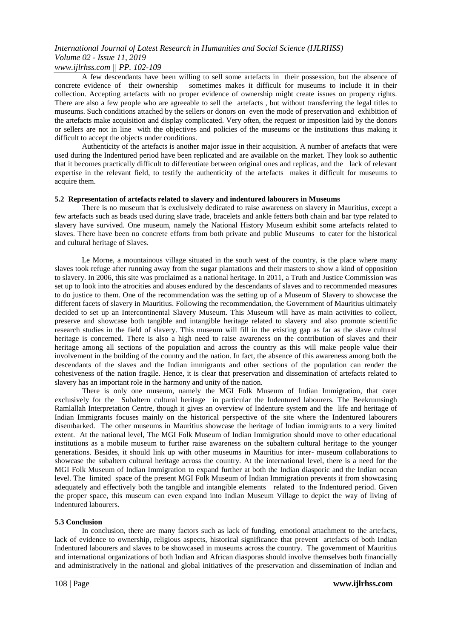*www.ijlrhss.com || PP. 102-109*

A few descendants have been willing to sell some artefacts in their possession, but the absence of concrete evidence of their ownership sometimes makes it difficult for museums to include it in their collection. Accepting artefacts with no proper evidence of ownership might create issues on property rights. There are also a few people who are agreeable to sell the artefacts , but without transferring the legal titles to museums. Such conditions attached by the sellers or donors on even the mode of preservation and exhibition of the artefacts make acquisition and display complicated. Very often, the request or imposition laid by the donors or sellers are not in line with the objectives and policies of the museums or the institutions thus making it difficult to accept the objects under conditions.

Authenticity of the artefacts is another major issue in their acquisition. A number of artefacts that were used during the Indentured period have been replicated and are available on the market. They look so authentic that it becomes practically difficult to differentiate between original ones and replicas, and the lack of relevant expertise in the relevant field, to testify the authenticity of the artefacts makes it difficult for museums to acquire them.

### **5.2 Representation of artefacts related to slavery and indentured labourers in Museums**

There is no museum that is exclusively dedicated to raise awareness on slavery in Mauritius, except a few artefacts such as beads used during slave trade, bracelets and ankle fetters both chain and bar type related to slavery have survived. One museum, namely the National History Museum exhibit some artefacts related to slaves. There have been no concrete efforts from both private and public Museums to cater for the historical and cultural heritage of Slaves.

Le Morne, a mountainous village situated in the south west of the country, is the place where many slaves took refuge after running away from the sugar plantations and their masters to show a kind of opposition to slavery. In 2006, this site was proclaimed as a national heritage. In 2011, a Truth and Justice Commission was set up to look into the atrocities and abuses endured by the descendants of slaves and to recommended measures to do justice to them. One of the recommendation was the setting up of a Museum of Slavery to showcase the different facets of slavery in Mauritius. Following the recommendation, the Government of Mauritius ultimately decided to set up an Intercontinental Slavery Museum. This Museum will have as main activities to collect, preserve and showcase both tangible and intangible heritage related to slavery and also promote scientific research studies in the field of slavery. This museum will fill in the existing gap as far as the slave cultural heritage is concerned. There is also a high need to raise awareness on the contribution of slaves and their heritage among all sections of the population and across the country as this will make people value their involvement in the building of the country and the nation. In fact, the absence of this awareness among both the descendants of the slaves and the Indian immigrants and other sections of the population can render the cohesiveness of the nation fragile. Hence, it is clear that preservation and dissemination of artefacts related to slavery has an important role in the harmony and unity of the nation.

There is only one museum, namely the MGI Folk Museum of Indian Immigration, that cater exclusively for the Subaltern cultural heritage in particular the Indentured labourers. The Beekrumsingh Ramlallah Interpretation Centre, though it gives an overview of Indenture system and the life and heritage of Indian Immigrants focuses mainly on the historical perspective of the site where the Indentured labourers disembarked. The other museums in Mauritius showcase the heritage of Indian immigrants to a very limited extent. At the national level, The MGI Folk Museum of Indian Immigration should move to other educational institutions as a mobile museum to further raise awareness on the subaltern cultural heritage to the younger generations. Besides, it should link up with other museums in Mauritius for inter- museum collaborations to showcase the subaltern cultural heritage across the country. At the international level, there is a need for the MGI Folk Museum of Indian Immigration to expand further at both the Indian diasporic and the Indian ocean level. The limited space of the present MGI Folk Museum of Indian Immigration prevents it from showcasing adequately and effectively both the tangible and intangible elements related to the Indentured period. Given the proper space, this museum can even expand into Indian Museum Village to depict the way of living of Indentured labourers.

### **5.3 Conclusion**

In conclusion, there are many factors such as lack of funding, emotional attachment to the artefacts, lack of evidence to ownership, religious aspects, historical significance that prevent artefacts of both Indian Indentured labourers and slaves to be showcased in museums across the country. The government of Mauritius and international organizations of both Indian and African diasporas should involve themselves both financially and administratively in the national and global initiatives of the preservation and dissemination of Indian and